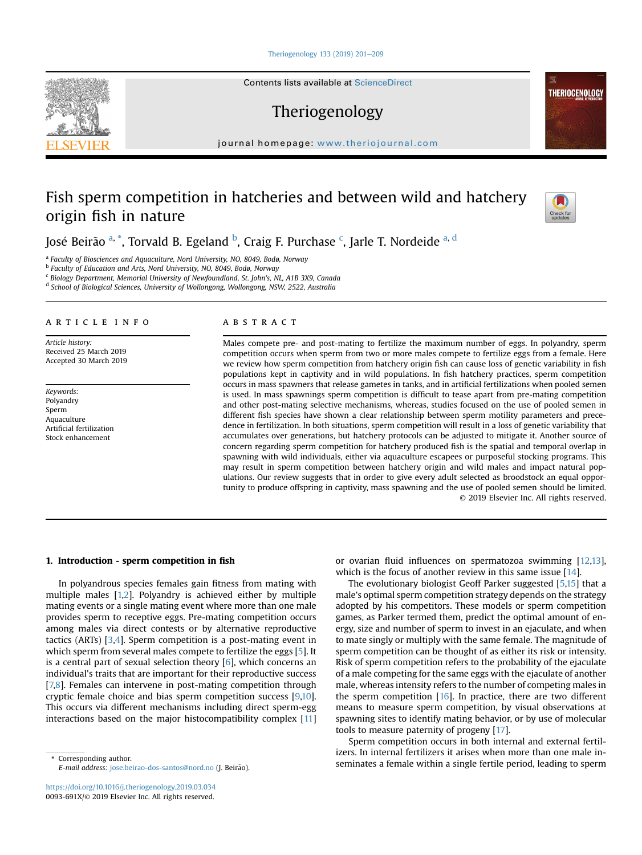[Theriogenology 133 \(2019\) 201](https://doi.org/10.1016/j.theriogenology.2019.03.034)-[209](https://doi.org/10.1016/j.theriogenology.2019.03.034)

Contents lists available at ScienceDirect

Theriogenology

journal homepage: <www.theriojournal.com>

# Fish sperm competition in hatcheries and between wild and hatchery origin fish in nature



**THERIOGENOLOGY** 

José Beirão <sup>a, \*</sup>, Torvald B. Egeland <sup>b</sup>, Craig F. Purchase <sup>c</sup>, Jarle T. Nordeide <sup>a, d</sup>

<sup>a</sup> Faculty of Biosciences and Aquaculture, Nord University, NO, 8049, Bodø, Norway

<sup>b</sup> Faculty of Education and Arts, Nord University, NO, 8049, Bodø, Norway

 $\epsilon$  Biology Department, Memorial University of Newfoundland, St. John's, NL, A1B 3X9, Canada

<sup>d</sup> School of Biological Sciences, University of Wollongong, Wollongong, NSW, 2522, Australia

#### article info

Article history: Received 25 March 2019 Accepted 30 March 2019

Keywords: Polyandry Sperm Aquaculture Artificial fertilization Stock enhancement

# ABSTRACT

Males compete pre- and post-mating to fertilize the maximum number of eggs. In polyandry, sperm competition occurs when sperm from two or more males compete to fertilize eggs from a female. Here we review how sperm competition from hatchery origin fish can cause loss of genetic variability in fish populations kept in captivity and in wild populations. In fish hatchery practices, sperm competition occurs in mass spawners that release gametes in tanks, and in artificial fertilizations when pooled semen is used. In mass spawnings sperm competition is difficult to tease apart from pre-mating competition and other post-mating selective mechanisms, whereas, studies focused on the use of pooled semen in different fish species have shown a clear relationship between sperm motility parameters and precedence in fertilization. In both situations, sperm competition will result in a loss of genetic variability that accumulates over generations, but hatchery protocols can be adjusted to mitigate it. Another source of concern regarding sperm competition for hatchery produced fish is the spatial and temporal overlap in spawning with wild individuals, either via aquaculture escapees or purposeful stocking programs. This may result in sperm competition between hatchery origin and wild males and impact natural populations. Our review suggests that in order to give every adult selected as broodstock an equal opportunity to produce offspring in captivity, mass spawning and the use of pooled semen should be limited. © 2019 Elsevier Inc. All rights reserved.

## 1. Introduction - sperm competition in fish

In polyandrous species females gain fitness from mating with multiple males [[1,2\]](#page-6-0). Polyandry is achieved either by multiple mating events or a single mating event where more than one male provides sperm to receptive eggs. Pre-mating competition occurs among males via direct contests or by alternative reproductive tactics (ARTs) [\[3,4\]](#page-6-0). Sperm competition is a post-mating event in which sperm from several males compete to fertilize the eggs [[5](#page-6-0)]. It is a central part of sexual selection theory  $[6]$  $[6]$ , which concerns an individual's traits that are important for their reproductive success [\[7,8](#page-6-0)]. Females can intervene in post-mating competition through cryptic female choice and bias sperm competition success [[9,10\]](#page-6-0). This occurs via different mechanisms including direct sperm-egg interactions based on the major histocompatibility complex [\[11\]](#page-6-0)

E-mail address: [jose.beirao-dos-santos@nord.no](mailto:jose.beirao-dos-santos@nord.no) (J. Beirao). ~

or ovarian fluid influences on spermatozoa swimming [\[12,13\]](#page-6-0), which is the focus of another review in this same issue [[14\]](#page-6-0).

The evolutionary biologist Geoff Parker suggested [\[5,15\]](#page-6-0) that a male's optimal sperm competition strategy depends on the strategy adopted by his competitors. These models or sperm competition games, as Parker termed them, predict the optimal amount of energy, size and number of sperm to invest in an ejaculate, and when to mate singly or multiply with the same female. The magnitude of sperm competition can be thought of as either its risk or intensity. Risk of sperm competition refers to the probability of the ejaculate of a male competing for the same eggs with the ejaculate of another male, whereas intensity refers to the number of competing males in the sperm competition [[16\]](#page-6-0). In practice, there are two different means to measure sperm competition, by visual observations at spawning sites to identify mating behavior, or by use of molecular tools to measure paternity of progeny [\[17\]](#page-6-0).

Sperm competition occurs in both internal and external fertilizers. In internal fertilizers it arises when more than one male in-Serior and the mail address in the main equipment in the main of the mail and the main of the mail address is a female within a single fertile period, leading to sperm  $\frac{E}{\text{mail}}$  address is the period, leading to sperm

<span id="page-0-0"></span>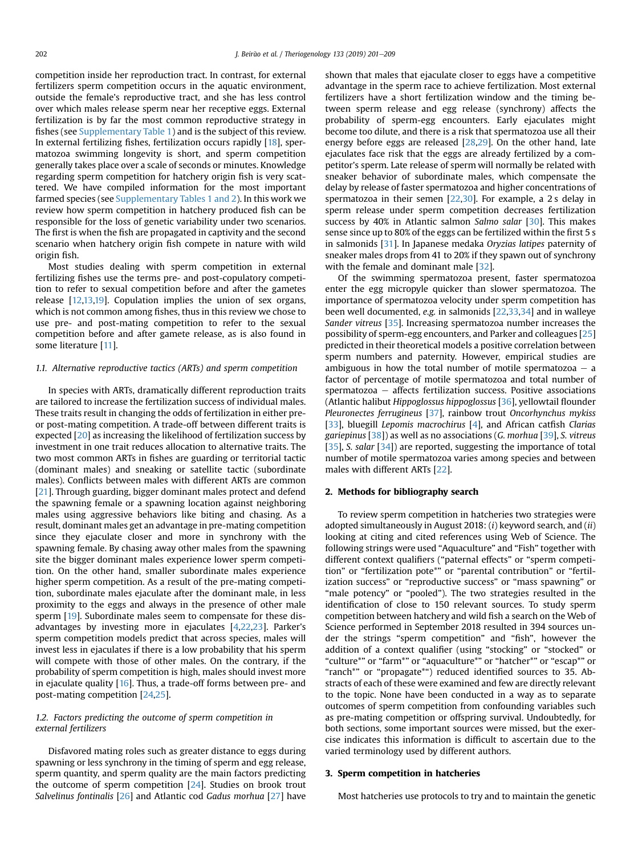<span id="page-1-0"></span>competition inside her reproduction tract. In contrast, for external fertilizers sperm competition occurs in the aquatic environment, outside the female's reproductive tract, and she has less control over which males release sperm near her receptive eggs. External fertilization is by far the most common reproductive strategy in fishes (see Supplementary Table 1) and is the subject of this review. In external fertilizing fishes, fertilization occurs rapidly [\[18](#page-6-0)], spermatozoa swimming longevity is short, and sperm competition generally takes place over a scale of seconds or minutes. Knowledge regarding sperm competition for hatchery origin fish is very scattered. We have compiled information for the most important farmed species (see Supplementary Tables 1 and 2). In this work we review how sperm competition in hatchery produced fish can be responsible for the loss of genetic variability under two scenarios. The first is when the fish are propagated in captivity and the second scenario when hatchery origin fish compete in nature with wild origin fish.

Most studies dealing with sperm competition in external fertilizing fishes use the terms pre- and post-copulatory competition to refer to sexual competition before and after the gametes release [[12](#page-6-0),[13,19\]](#page-6-0). Copulation implies the union of sex organs, which is not common among fishes, thus in this review we chose to use pre- and post-mating competition to refer to the sexual competition before and after gamete release, as is also found in some literature [[11\]](#page-6-0).

## 1.1. Alternative reproductive tactics (ARTs) and sperm competition

In species with ARTs, dramatically different reproduction traits are tailored to increase the fertilization success of individual males. These traits result in changing the odds of fertilization in either preor post-mating competition. A trade-off between different traits is expected [[20](#page-6-0)] as increasing the likelihood of fertilization success by investment in one trait reduces allocation to alternative traits. The two most common ARTs in fishes are guarding or territorial tactic (dominant males) and sneaking or satellite tactic (subordinate males). Conflicts between males with different ARTs are common [[21\]](#page-6-0). Through guarding, bigger dominant males protect and defend the spawning female or a spawning location against neighboring males using aggressive behaviors like biting and chasing. As a result, dominant males get an advantage in pre-mating competition since they ejaculate closer and more in synchrony with the spawning female. By chasing away other males from the spawning site the bigger dominant males experience lower sperm competition. On the other hand, smaller subordinate males experience higher sperm competition. As a result of the pre-mating competition, subordinate males ejaculate after the dominant male, in less proximity to the eggs and always in the presence of other male sperm [\[19](#page-6-0)]. Subordinate males seem to compensate for these disadvantages by investing more in ejaculates [[4,22,23](#page-6-0)]. Parker's sperm competition models predict that across species, males will invest less in ejaculates if there is a low probability that his sperm will compete with those of other males. On the contrary, if the probability of sperm competition is high, males should invest more in ejaculate quality [[16\]](#page-6-0). Thus, a trade-off forms between pre- and post-mating competition [[24,25\]](#page-6-0).

# 1.2. Factors predicting the outcome of sperm competition in external fertilizers

Disfavored mating roles such as greater distance to eggs during spawning or less synchrony in the timing of sperm and egg release, sperm quantity, and sperm quality are the main factors predicting the outcome of sperm competition [[24](#page-6-0)]. Studies on brook trout Salvelinus fontinalis [\[26\]](#page-6-0) and Atlantic cod Gadus morhua [\[27](#page-6-0)] have shown that males that ejaculate closer to eggs have a competitive advantage in the sperm race to achieve fertilization. Most external fertilizers have a short fertilization window and the timing between sperm release and egg release (synchrony) affects the probability of sperm-egg encounters. Early ejaculates might become too dilute, and there is a risk that spermatozoa use all their energy before eggs are released [[28,29\]](#page-6-0). On the other hand, late ejaculates face risk that the eggs are already fertilized by a competitor's sperm. Late release of sperm will normally be related with sneaker behavior of subordinate males, which compensate the delay by release of faster spermatozoa and higher concentrations of spermatozoa in their semen [[22,30\]](#page-6-0). For example, a 2 s delay in sperm release under sperm competition decreases fertilization success by 40% in Atlantic salmon Salmo salar [\[30](#page-6-0)]. This makes sense since up to 80% of the eggs can be fertilized within the first 5 s in salmonids [\[31](#page-6-0)]. In Japanese medaka Oryzias latipes paternity of sneaker males drops from 41 to 20% if they spawn out of synchrony with the female and dominant male [[32\]](#page-6-0).

Of the swimming spermatozoa present, faster spermatozoa enter the egg micropyle quicker than slower spermatozoa. The importance of spermatozoa velocity under sperm competition has been well documented, e.g. in salmonids [\[22,33,34\]](#page-6-0) and in walleye Sander vitreus [\[35\]](#page-6-0). Increasing spermatozoa number increases the possibility of sperm-egg encounters, and Parker and colleagues [\[25\]](#page-6-0) predicted in their theoretical models a positive correlation between sperm numbers and paternity. However, empirical studies are ambiguous in how the total number of motile spermatozoa  $-$  a factor of percentage of motile spermatozoa and total number of  $s$ permatozoa  $-$  affects fertilization success. Positive associations (Atlantic halibut Hippoglossus hippoglossus [\[36\]](#page-6-0), yellowtail flounder Pleuronectes ferrugineus [\[37](#page-6-0)], rainbow trout Oncorhynchus mykiss [[33](#page-6-0)], bluegill Lepomis macrochirus [\[4](#page-6-0)], and African catfish Clarias gariepinus [[38](#page-6-0)]) as well as no associations (G. morhua [\[39\]](#page-6-0), S. vitreus [[35](#page-6-0)], S. salar [[34](#page-6-0)]) are reported, suggesting the importance of total number of motile spermatozoa varies among species and between males with different ARTs [\[22\]](#page-6-0).

## 2. Methods for bibliography search

To review sperm competition in hatcheries two strategies were adopted simultaneously in August 2018:  $(i)$  keyword search, and  $(ii)$ looking at citing and cited references using Web of Science. The following strings were used "Aquaculture" and "Fish" together with different context qualifiers ("paternal effects" or "sperm competition" or "fertilization pote\*" or "parental contribution" or "fertilization success" or "reproductive success" or "mass spawning" or "male potency" or "pooled"). The two strategies resulted in the identification of close to 150 relevant sources. To study sperm competition between hatchery and wild fish a search on the Web of Science performed in September 2018 resulted in 394 sources under the strings "sperm competition" and "fish", however the addition of a context qualifier (using "stocking" or "stocked" or "culture\*" or "farm\*" or "aquaculture\*" or "hatcher\*" or "escap\*" or "ranch\*" or "propagate\*") reduced identified sources to 35. Abstracts of each of these were examined and few are directly relevant to the topic. None have been conducted in a way as to separate outcomes of sperm competition from confounding variables such as pre-mating competition or offspring survival. Undoubtedly, for both sections, some important sources were missed, but the exercise indicates this information is difficult to ascertain due to the varied terminology used by different authors.

## 3. Sperm competition in hatcheries

Most hatcheries use protocols to try and to maintain the genetic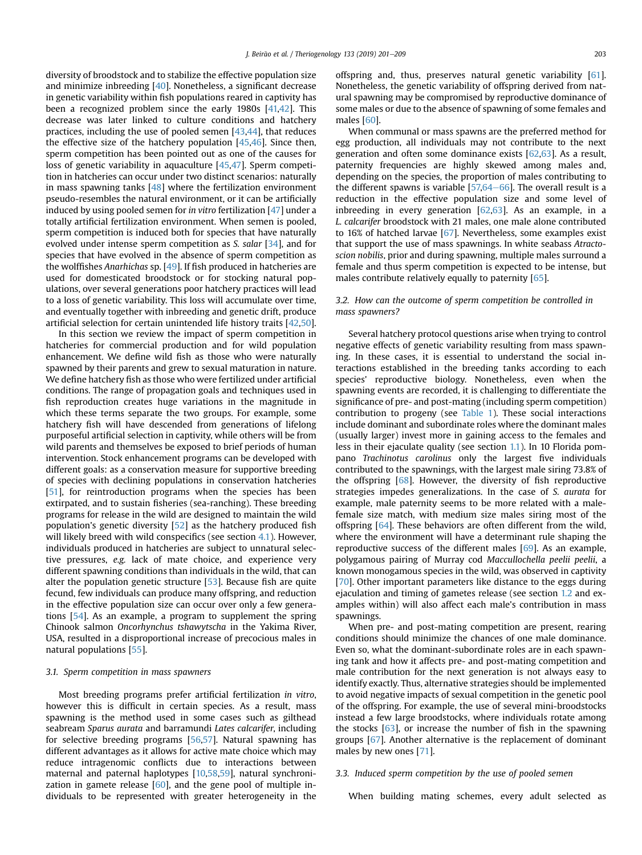<span id="page-2-0"></span>diversity of broodstock and to stabilize the effective population size and minimize inbreeding [\[40\]](#page-6-0). Nonetheless, a significant decrease in genetic variability within fish populations reared in captivity has been a recognized problem since the early 1980s [[41,](#page-6-0)[42\]](#page-7-0). This decrease was later linked to culture conditions and hatchery practices, including the use of pooled semen [[43,44](#page-7-0)], that reduces the effective size of the hatchery population [[45,46\]](#page-7-0). Since then, sperm competition has been pointed out as one of the causes for loss of genetic variability in aquaculture [\[45,47\]](#page-7-0). Sperm competition in hatcheries can occur under two distinct scenarios: naturally in mass spawning tanks [\[48](#page-7-0)] where the fertilization environment pseudo-resembles the natural environment, or it can be artificially induced by using pooled semen for in vitro fertilization [\[47](#page-7-0)] under a totally artificial fertilization environment. When semen is pooled, sperm competition is induced both for species that have naturally evolved under intense sperm competition as S. salar [[34](#page-6-0)], and for species that have evolved in the absence of sperm competition as the wolffishes Anarhichas sp. [[49](#page-7-0)]. If fish produced in hatcheries are used for domesticated broodstock or for stocking natural populations, over several generations poor hatchery practices will lead to a loss of genetic variability. This loss will accumulate over time, and eventually together with inbreeding and genetic drift, produce artificial selection for certain unintended life history traits [[42,50\]](#page-7-0).

In this section we review the impact of sperm competition in hatcheries for commercial production and for wild population enhancement. We define wild fish as those who were naturally spawned by their parents and grew to sexual maturation in nature. We define hatchery fish as those who were fertilized under artificial conditions. The range of propagation goals and techniques used in fish reproduction creates huge variations in the magnitude in which these terms separate the two groups. For example, some hatchery fish will have descended from generations of lifelong purposeful artificial selection in captivity, while others will be from wild parents and themselves be exposed to brief periods of human intervention. Stock enhancement programs can be developed with different goals: as a conservation measure for supportive breeding of species with declining populations in conservation hatcheries [\[51](#page-7-0)], for reintroduction programs when the species has been extirpated, and to sustain fisheries (sea-ranching). These breeding programs for release in the wild are designed to maintain the wild population's genetic diversity [\[52](#page-7-0)] as the hatchery produced fish will likely breed with wild conspecifics (see section [4.1\)](#page-5-0). However, individuals produced in hatcheries are subject to unnatural selective pressures, e.g. lack of mate choice, and experience very different spawning conditions than individuals in the wild, that can alter the population genetic structure [[53](#page-7-0)]. Because fish are quite fecund, few individuals can produce many offspring, and reduction in the effective population size can occur over only a few generations [[54](#page-7-0)]. As an example, a program to supplement the spring Chinook salmon Oncorhynchus tshawytscha in the Yakima River, USA, resulted in a disproportional increase of precocious males in natural populations [\[55\]](#page-7-0).

## 3.1. Sperm competition in mass spawners

Most breeding programs prefer artificial fertilization in vitro, however this is difficult in certain species. As a result, mass spawning is the method used in some cases such as gilthead seabream Sparus aurata and barramundi Lates calcarifer, including for selective breeding programs [[56,57](#page-7-0)]. Natural spawning has different advantages as it allows for active mate choice which may reduce intragenomic conflicts due to interactions between maternal and paternal haplotypes [[10,](#page-6-0)[58,59](#page-7-0)], natural synchronization in gamete release  $[60]$ , and the gene pool of multiple individuals to be represented with greater heterogeneity in the offspring and, thus, preserves natural genetic variability [[61\]](#page-7-0). Nonetheless, the genetic variability of offspring derived from natural spawning may be compromised by reproductive dominance of some males or due to the absence of spawning of some females and males [\[60\]](#page-7-0).

When communal or mass spawns are the preferred method for egg production, all individuals may not contribute to the next generation and often some dominance exists [[62,63\]](#page-7-0). As a result, paternity frequencies are highly skewed among males and, depending on the species, the proportion of males contributing to the different spawns is variable  $[57,64-66]$  $[57,64-66]$  $[57,64-66]$ . The overall result is a reduction in the effective population size and some level of inbreeding in every generation [[62,63\]](#page-7-0). As an example, in a L. calcarifer broodstock with 21 males, one male alone contributed to 16% of hatched larvae [[67](#page-7-0)]. Nevertheless, some examples exist that support the use of mass spawnings. In white seabass Atractoscion nobilis, prior and during spawning, multiple males surround a female and thus sperm competition is expected to be intense, but males contribute relatively equally to paternity [\[65\]](#page-7-0).

## 3.2. How can the outcome of sperm competition be controlled in mass spawners?

Several hatchery protocol questions arise when trying to control negative effects of genetic variability resulting from mass spawning. In these cases, it is essential to understand the social interactions established in the breeding tanks according to each species' reproductive biology. Nonetheless, even when the spawning events are recorded, it is challenging to differentiate the significance of pre- and post-mating (including sperm competition) contribution to progeny (see [Table 1](#page-3-0)). These social interactions include dominant and subordinate roles where the dominant males (usually larger) invest more in gaining access to the females and less in their ejaculate quality (see section [1.1](#page-1-0)). In 10 Florida pompano Trachinotus carolinus only the largest five individuals contributed to the spawnings, with the largest male siring 73.8% of the offspring [\[68\]](#page-7-0). However, the diversity of fish reproductive strategies impedes generalizations. In the case of S. aurata for example, male paternity seems to be more related with a malefemale size match, with medium size males siring most of the offspring [\[64\]](#page-7-0). These behaviors are often different from the wild, where the environment will have a determinant rule shaping the reproductive success of the different males [[69](#page-7-0)]. As an example, polygamous pairing of Murray cod Maccullochella peelii peelii, a known monogamous species in the wild, was observed in captivity [\[70\]](#page-7-0). Other important parameters like distance to the eggs during ejaculation and timing of gametes release (see section [1.2](#page-1-0) and examples within) will also affect each male's contribution in mass spawnings.

When pre- and post-mating competition are present, rearing conditions should minimize the chances of one male dominance. Even so, what the dominant-subordinate roles are in each spawning tank and how it affects pre- and post-mating competition and male contribution for the next generation is not always easy to identify exactly. Thus, alternative strategies should be implemented to avoid negative impacts of sexual competition in the genetic pool of the offspring. For example, the use of several mini-broodstocks instead a few large broodstocks, where individuals rotate among the stocks  $[63]$ , or increase the number of fish in the spawning groups [[67](#page-7-0)]. Another alternative is the replacement of dominant males by new ones [\[71\]](#page-7-0).

## 3.3. Induced sperm competition by the use of pooled semen

When building mating schemes, every adult selected as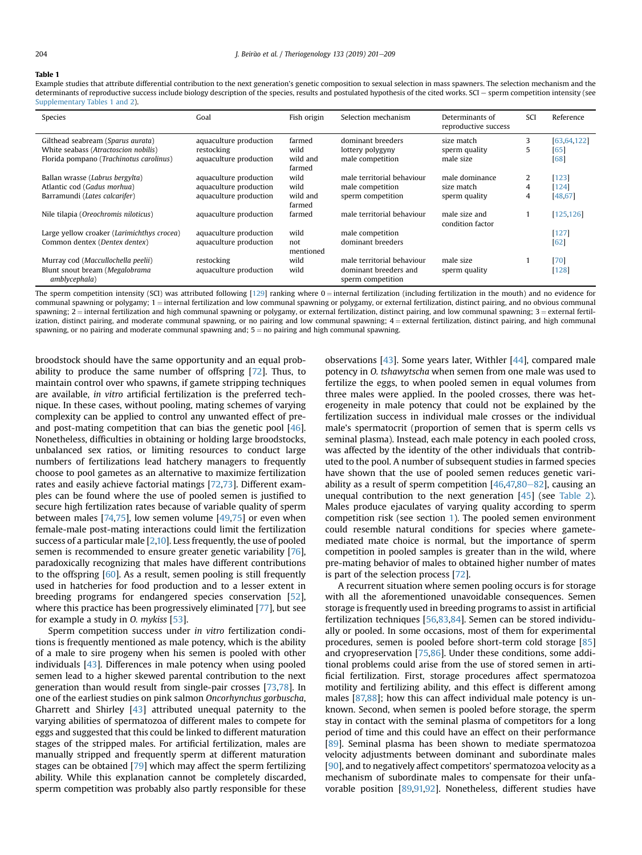#### <span id="page-3-0"></span>Table 1

Example studies that attribute differential contribution to the next generation's genetic composition to sexual selection in mass spawners. The selection mechanism and the determinants of reproductive success include biology description of the species, results and postulated hypothesis of the cited works. SCI - sperm competition intensity (see Supplementary Tables 1 and 2).

| Species                                         | Goal                   | Fish origin        | Selection mechanism                        | Determinants of<br>reproductive success | SCI | Reference     |
|-------------------------------------------------|------------------------|--------------------|--------------------------------------------|-----------------------------------------|-----|---------------|
| Gilthead seabream (Sparus aurata)               | aquaculture production | farmed             | dominant breeders                          | size match                              | 3   | [63, 64, 122] |
| White seabass (Atractoscion nobilis)            | restocking             | wild               | lottery polygyny                           | sperm quality                           | 5.  | [65]          |
| Florida pompano (Trachinotus carolinus)         | aquaculture production | wild and<br>farmed | male competition                           | male size                               |     | $[68]$        |
| Ballan wrasse (Labrus bergylta)                 | aquaculture production | wild               | male territorial behaviour                 | male dominance                          | 2   | [123]         |
| Atlantic cod (Gadus morhua)                     | aquaculture production | wild               | male competition                           | size match                              | 4   | [124]         |
| Barramundi (Lates calcarifer)                   | aquaculture production | wild and<br>farmed | sperm competition                          | sperm quality                           | 4   | [48, 67]      |
| Nile tilapia (Oreochromis niloticus)            | aquaculture production | farmed             | male territorial behaviour                 | male size and<br>condition factor       |     | [125, 126]    |
| Large yellow croaker (Larimichthys crocea)      | aquaculture production | wild               | male competition                           |                                         |     | $[127]$       |
| Common dentex (Dentex dentex)                   | aquaculture production | not<br>mentioned   | dominant breeders                          |                                         |     | $[62]$        |
| Murray cod (Maccullochella peelii)              | restocking             | wild               | male territorial behaviour                 | male size                               |     | $[70]$        |
| Blunt snout bream (Megalobrama<br>amblycephala) | aquaculture production | wild               | dominant breeders and<br>sperm competition | sperm quality                           |     | [128]         |

The sperm competition intensity (SCI) was attributed following  $[129]$  ranking where  $0 =$  internal fertilization (including fertilization in the mouth) and no evidence for communal spawning or polygamy;  $1 =$  internal fertilization and low communal spawning or polygamy, or external fertilization, distinct pairing, and no obvious communal spawning;  $2 =$  internal fertilization and high communal spawning or polygamy, or external fertilization, distinct pairing, and low communal spawning;  $3 =$  external fertilization, distinct pairing, and moderate communal spawning, or no pairing and low communal spawning; 4= external fertilization, distinct pairing, and high communal spawning, or no pairing and moderate communal spawning and;  $5 =$  no pairing and high communal spawning.

broodstock should have the same opportunity and an equal probability to produce the same number of offspring [[72](#page-7-0)]. Thus, to maintain control over who spawns, if gamete stripping techniques are available, in vitro artificial fertilization is the preferred technique. In these cases, without pooling, mating schemes of varying complexity can be applied to control any unwanted effect of preand post-mating competition that can bias the genetic pool [[46](#page-7-0)]. Nonetheless, difficulties in obtaining or holding large broodstocks, unbalanced sex ratios, or limiting resources to conduct large numbers of fertilizations lead hatchery managers to frequently choose to pool gametes as an alternative to maximize fertilization rates and easily achieve factorial matings [[72](#page-7-0),[73](#page-7-0)]. Different examples can be found where the use of pooled semen is justified to secure high fertilization rates because of variable quality of sperm between males [[74,75\]](#page-7-0), low semen volume [[49,75\]](#page-7-0) or even when female-male post-mating interactions could limit the fertilization success of a particular male [\[2,10](#page-6-0)]. Less frequently, the use of pooled semen is recommended to ensure greater genetic variability [[76](#page-7-0)], paradoxically recognizing that males have different contributions to the offspring [[60](#page-7-0)]. As a result, semen pooling is still frequently used in hatcheries for food production and to a lesser extent in breeding programs for endangered species conservation [[52](#page-7-0)], where this practice has been progressively eliminated [\[77\]](#page-7-0), but see for example a study in O. mykiss [\[53\]](#page-7-0).

Sperm competition success under in vitro fertilization conditions is frequently mentioned as male potency, which is the ability of a male to sire progeny when his semen is pooled with other individuals [[43](#page-7-0)]. Differences in male potency when using pooled semen lead to a higher skewed parental contribution to the next generation than would result from single-pair crosses [[73,78](#page-7-0)]. In one of the earliest studies on pink salmon Oncorhynchus gorbuscha, Gharrett and Shirley [\[43\]](#page-7-0) attributed unequal paternity to the varying abilities of spermatozoa of different males to compete for eggs and suggested that this could be linked to different maturation stages of the stripped males. For artificial fertilization, males are manually stripped and frequently sperm at different maturation stages can be obtained [\[79\]](#page-7-0) which may affect the sperm fertilizing ability. While this explanation cannot be completely discarded, sperm competition was probably also partly responsible for these observations [[43](#page-7-0)]. Some years later, Withler [\[44\]](#page-7-0), compared male potency in O. tshawytscha when semen from one male was used to fertilize the eggs, to when pooled semen in equal volumes from three males were applied. In the pooled crosses, there was heterogeneity in male potency that could not be explained by the fertilization success in individual male crosses or the individual male's spermatocrit (proportion of semen that is sperm cells vs seminal plasma). Instead, each male potency in each pooled cross, was affected by the identity of the other individuals that contributed to the pool. A number of subsequent studies in farmed species have shown that the use of pooled semen reduces genetic variability as a result of sperm competition  $[46,47,80-82]$  $[46,47,80-82]$  $[46,47,80-82]$  $[46,47,80-82]$ , causing an unequal contribution to the next generation [[45](#page-7-0)] (see [Table 2\)](#page-4-0). Males produce ejaculates of varying quality according to sperm competition risk (see section [1](#page-0-0)). The pooled semen environment could resemble natural conditions for species where gametemediated mate choice is normal, but the importance of sperm competition in pooled samples is greater than in the wild, where pre-mating behavior of males to obtained higher number of mates is part of the selection process [[72\]](#page-7-0).

A recurrent situation where semen pooling occurs is for storage with all the aforementioned unavoidable consequences. Semen storage is frequently used in breeding programs to assist in artificial fertilization techniques [\[56,83,84\]](#page-7-0). Semen can be stored individually or pooled. In some occasions, most of them for experimental procedures, semen is pooled before short-term cold storage [\[85\]](#page-7-0) and cryopreservation [\[75,86](#page-7-0)]. Under these conditions, some additional problems could arise from the use of stored semen in artificial fertilization. First, storage procedures affect spermatozoa motility and fertilizing ability, and this effect is different among males [[87,88](#page-7-0)]; how this can affect individual male potency is unknown. Second, when semen is pooled before storage, the sperm stay in contact with the seminal plasma of competitors for a long period of time and this could have an effect on their performance [[89](#page-7-0)]. Seminal plasma has been shown to mediate spermatozoa velocity adjustments between dominant and subordinate males [[90](#page-7-0)], and to negatively affect competitors' spermatozoa velocity as a mechanism of subordinate males to compensate for their unfavorable position [[89,91,92](#page-7-0)]. Nonetheless, different studies have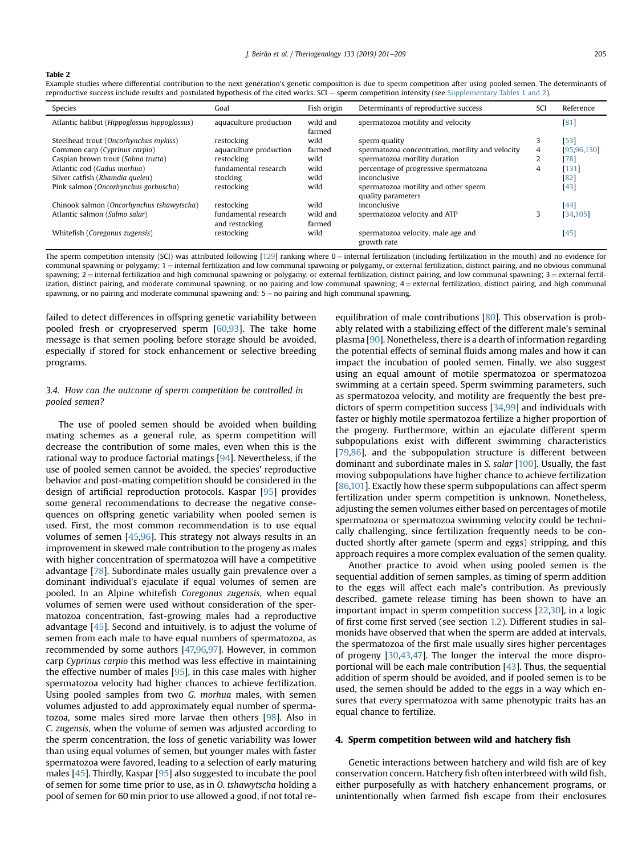#### <span id="page-4-0"></span>Table 2

Example studies where differential contribution to the next generation's genetic composition is due to sperm competition after using pooled semen. The determinants of reproductive success include results and postulated hypothesis of the cited works. SCI e sperm competition intensity (see Supplementary Tables 1 and 2).

| Species                                      | Goal                                   | Fish origin        | Determinants of reproductive success                       |   | Reference     |
|----------------------------------------------|----------------------------------------|--------------------|------------------------------------------------------------|---|---------------|
| Atlantic halibut (Hippoglossus hippoglossus) | aquaculture production                 | wild and<br>farmed | spermatozoa motility and velocity                          |   | [81]          |
| Steelhead trout (Oncorhynchus mykiss)        | restocking                             | wild               | sperm quality                                              | 3 | $[53]$        |
| Common carp (Cyprinus carpio)                | aquaculture production                 | farmed             | spermatozoa concentration, motility and velocity           | 4 | [95, 96, 130] |
| Caspian brown trout (Salmo trutta)           | restocking                             | wild               | spermatozoa motility duration                              | ۷ | [78]          |
| Atlantic cod (Gadus morhua)                  | fundamental research                   | wild               | percentage of progressive spermatozoa                      | 4 | [131]         |
| Silver catfish (Rhamdia quelen)              | stocking                               | wild               | inconclusive                                               |   | [82]          |
| Pink salmon (Oncorhynchus gorbuscha)         | restocking                             | wild               | spermatozoa motility and other sperm<br>quality parameters |   | $[43]$        |
| Chinook salmon (Oncorhynchus tshawytscha)    | restocking                             | wild               | inconclusive                                               |   | $[44]$        |
| Atlantic salmon (Salmo salar)                | fundamental research<br>and restocking | wild and<br>farmed | spermatozoa velocity and ATP                               |   | [34, 105]     |
| Whitefish (Coregonus zugensis)               | restocking                             | wild               | spermatozoa velocity, male age and<br>growth rate          |   | $[45]$        |

The sperm competition intensity (SCI) was attributed following  $[129]$  $[129]$  $[129]$  ranking where  $0 =$  internal fertilization (including fertilization in the mouth) and no evidence for  $\epsilon$  communal spawning or polygamy:  $1 =$  internal fertilization and low communal spawning or polygamy, or external fertilization, distinct pairing, and no obvious communal spawning; 2 = internal fertilization and high communal spawning or polygamy, or external fertilization, distinct pairing, and low communal spawning; 3 = external fertilization, distinct pairing, and moderate communal spawning, or no pairing and low communal spawning;  $4 =$ external fertilization, distinct pairing, and high communal spawning, or no pairing and moderate communal spawning and;  $5 =$  no pairing and high communal spawning.

failed to detect differences in offspring genetic variability between pooled fresh or cryopreserved sperm [\[60](#page-7-0)[,93\]](#page-8-0). The take home message is that semen pooling before storage should be avoided, especially if stored for stock enhancement or selective breeding programs.

# 3.4. How can the outcome of sperm competition be controlled in pooled semen?

The use of pooled semen should be avoided when building mating schemes as a general rule, as sperm competition will decrease the contribution of some males, even when this is the rational way to produce factorial matings [\[94\]](#page-8-0). Nevertheless, if the use of pooled semen cannot be avoided, the species' reproductive behavior and post-mating competition should be considered in the design of artificial reproduction protocols. Kaspar [[95](#page-8-0)] provides some general recommendations to decrease the negative consequences on offspring genetic variability when pooled semen is used. First, the most common recommendation is to use equal volumes of semen [\[45,](#page-7-0)[96](#page-8-0)]. This strategy not always results in an improvement in skewed male contribution to the progeny as males with higher concentration of spermatozoa will have a competitive advantage [[78](#page-7-0)]. Subordinate males usually gain prevalence over a dominant individual's ejaculate if equal volumes of semen are pooled. In an Alpine whitefish Coregonus zugensis, when equal volumes of semen were used without consideration of the spermatozoa concentration, fast-growing males had a reproductive advantage [\[45](#page-7-0)]. Second and intuitively, is to adjust the volume of semen from each male to have equal numbers of spermatozoa, as recommended by some authors [\[47,](#page-7-0)[96,97\]](#page-8-0). However, in common carp Cyprinus carpio this method was less effective in maintaining the effective number of males [[95](#page-8-0)], in this case males with higher spermatozoa velocity had higher chances to achieve fertilization. Using pooled samples from two G. morhua males, with semen volumes adjusted to add approximately equal number of spermatozoa, some males sired more larvae then others [\[98\]](#page-8-0). Also in C. zugensis, when the volume of semen was adjusted according to the sperm concentration, the loss of genetic variability was lower than using equal volumes of semen, but younger males with faster spermatozoa were favored, leading to a selection of early maturing males [[45](#page-7-0)]. Thirdly, Kaspar [\[95\]](#page-8-0) also suggested to incubate the pool of semen for some time prior to use, as in O. tshawytscha holding a pool of semen for 60 min prior to use allowed a good, if not total reequilibration of male contributions [\[80\]](#page-7-0). This observation is probably related with a stabilizing effect of the different male's seminal plasma [\[90\]](#page-7-0). Nonetheless, there is a dearth of information regarding the potential effects of seminal fluids among males and how it can impact the incubation of pooled semen. Finally, we also suggest using an equal amount of motile spermatozoa or spermatozoa swimming at a certain speed. Sperm swimming parameters, such as spermatozoa velocity, and motility are frequently the best predictors of sperm competition success [[34](#page-6-0)[,99\]](#page-8-0) and individuals with faster or highly motile spermatozoa fertilize a higher proportion of the progeny. Furthermore, within an ejaculate different sperm subpopulations exist with different swimming characteristics [\[79,86](#page-7-0)], and the subpopulation structure is different between dominant and subordinate males in S. salar [\[100\]](#page-8-0). Usually, the fast moving subpopulations have higher chance to achieve fertilization [\[86,](#page-7-0)[101\]](#page-8-0). Exactly how these sperm subpopulations can affect sperm fertilization under sperm competition is unknown. Nonetheless, adjusting the semen volumes either based on percentages of motile spermatozoa or spermatozoa swimming velocity could be technically challenging, since fertilization frequently needs to be conducted shortly after gamete (sperm and eggs) stripping, and this approach requires a more complex evaluation of the semen quality.

Another practice to avoid when using pooled semen is the sequential addition of semen samples, as timing of sperm addition to the eggs will affect each male's contribution. As previously described, gamete release timing has been shown to have an important impact in sperm competition success [\[22,30](#page-6-0)], in a logic of first come first served (see section [1.2\)](#page-1-0). Different studies in salmonids have observed that when the sperm are added at intervals, the spermatozoa of the first male usually sires higher percentages of progeny [\[30,](#page-6-0)[43](#page-7-0),[47](#page-7-0)]. The longer the interval the more disproportional will be each male contribution [[43](#page-7-0)]. Thus, the sequential addition of sperm should be avoided, and if pooled semen is to be used, the semen should be added to the eggs in a way which ensures that every spermatozoa with same phenotypic traits has an equal chance to fertilize.

## 4. Sperm competition between wild and hatchery fish

Genetic interactions between hatchery and wild fish are of key conservation concern. Hatchery fish often interbreed with wild fish, either purposefully as with hatchery enhancement programs, or unintentionally when farmed fish escape from their enclosures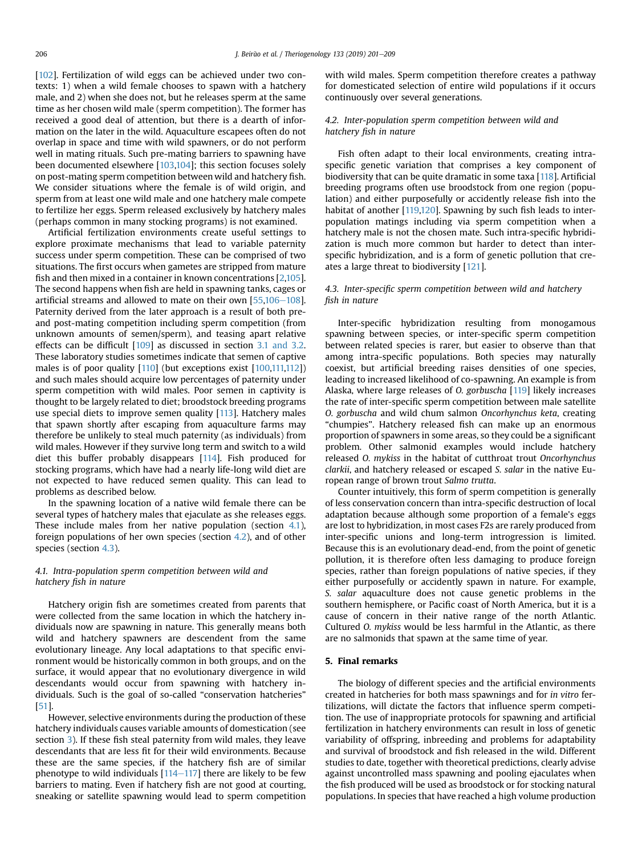<span id="page-5-0"></span>[[102](#page-8-0)]. Fertilization of wild eggs can be achieved under two contexts: 1) when a wild female chooses to spawn with a hatchery male, and 2) when she does not, but he releases sperm at the same time as her chosen wild male (sperm competition). The former has received a good deal of attention, but there is a dearth of information on the later in the wild. Aquaculture escapees often do not overlap in space and time with wild spawners, or do not perform well in mating rituals. Such pre-mating barriers to spawning have been documented elsewhere [\[103,104\]](#page-8-0); this section focuses solely on post-mating sperm competition between wild and hatchery fish. We consider situations where the female is of wild origin, and sperm from at least one wild male and one hatchery male compete to fertilize her eggs. Sperm released exclusively by hatchery males (perhaps common in many stocking programs) is not examined.

Artificial fertilization environments create useful settings to explore proximate mechanisms that lead to variable paternity success under sperm competition. These can be comprised of two situations. The first occurs when gametes are stripped from mature fish and then mixed in a container in known concentrations [\[2](#page-6-0),[105](#page-8-0)]. The second happens when fish are held in spawning tanks, cages or artificial streams and allowed to mate on their own  $[55,106-108]$  $[55,106-108]$  $[55,106-108]$  $[55,106-108]$  $[55,106-108]$  $[55,106-108]$ . Paternity derived from the later approach is a result of both preand post-mating competition including sperm competition (from unknown amounts of semen/sperm), and teasing apart relative effects can be difficult [[109\]](#page-8-0) as discussed in section [3.1 and 3.2.](#page-2-0) These laboratory studies sometimes indicate that semen of captive males is of poor quality [\[110](#page-8-0)] (but exceptions exist [[100,111,112\]](#page-8-0)) and such males should acquire low percentages of paternity under sperm competition with wild males. Poor semen in captivity is thought to be largely related to diet; broodstock breeding programs use special diets to improve semen quality [[113\]](#page-8-0). Hatchery males that spawn shortly after escaping from aquaculture farms may therefore be unlikely to steal much paternity (as individuals) from wild males. However if they survive long term and switch to a wild diet this buffer probably disappears [\[114](#page-8-0)]. Fish produced for stocking programs, which have had a nearly life-long wild diet are not expected to have reduced semen quality. This can lead to problems as described below.

In the spawning location of a native wild female there can be several types of hatchery males that ejaculate as she releases eggs. These include males from her native population (section 4.1), foreign populations of her own species (section 4.2), and of other species (section 4.3).

# 4.1. Intra-population sperm competition between wild and hatchery fish in nature

Hatchery origin fish are sometimes created from parents that were collected from the same location in which the hatchery individuals now are spawning in nature. This generally means both wild and hatchery spawners are descendent from the same evolutionary lineage. Any local adaptations to that specific environment would be historically common in both groups, and on the surface, it would appear that no evolutionary divergence in wild descendants would occur from spawning with hatchery individuals. Such is the goal of so-called "conservation hatcheries" [[51\]](#page-7-0).

However, selective environments during the production of these hatchery individuals causes variable amounts of domestication (see section [3](#page-1-0)). If these fish steal paternity from wild males, they leave descendants that are less fit for their wild environments. Because these are the same species, if the hatchery fish are of similar phenotype to wild individuals  $[114-117]$  $[114-117]$  $[114-117]$  $[114-117]$  there are likely to be few barriers to mating. Even if hatchery fish are not good at courting, sneaking or satellite spawning would lead to sperm competition with wild males. Sperm competition therefore creates a pathway for domesticated selection of entire wild populations if it occurs continuously over several generations.

## 4.2. Inter-population sperm competition between wild and hatchery fish in nature

Fish often adapt to their local environments, creating intraspecific genetic variation that comprises a key component of biodiversity that can be quite dramatic in some taxa [\[118\]](#page-8-0). Artificial breeding programs often use broodstock from one region (population) and either purposefully or accidently release fish into the habitat of another [\[119,120](#page-8-0)]. Spawning by such fish leads to interpopulation matings including via sperm competition when a hatchery male is not the chosen mate. Such intra-specific hybridization is much more common but harder to detect than interspecific hybridization, and is a form of genetic pollution that creates a large threat to biodiversity [[121](#page-8-0)].

# 4.3. Inter-specific sperm competition between wild and hatchery fish in nature

Inter-specific hybridization resulting from monogamous spawning between species, or inter-specific sperm competition between related species is rarer, but easier to observe than that among intra-specific populations. Both species may naturally coexist, but artificial breeding raises densities of one species, leading to increased likelihood of co-spawning. An example is from Alaska, where large releases of O. gorbuscha [\[119\]](#page-8-0) likely increases the rate of inter-specific sperm competition between male satellite O. gorbuscha and wild chum salmon Oncorhynchus keta, creating "chumpies". Hatchery released fish can make up an enormous proportion of spawners in some areas, so they could be a significant problem. Other salmonid examples would include hatchery released O. mykiss in the habitat of cutthroat trout Oncorhynchus clarkii, and hatchery released or escaped S. salar in the native European range of brown trout Salmo trutta.

Counter intuitively, this form of sperm competition is generally of less conservation concern than intra-specific destruction of local adaptation because although some proportion of a female's eggs are lost to hybridization, in most cases F2s are rarely produced from inter-specific unions and long-term introgression is limited. Because this is an evolutionary dead-end, from the point of genetic pollution, it is therefore often less damaging to produce foreign species, rather than foreign populations of native species, if they either purposefully or accidently spawn in nature. For example, S. salar aquaculture does not cause genetic problems in the southern hemisphere, or Pacific coast of North America, but it is a cause of concern in their native range of the north Atlantic. Cultured O. mykiss would be less harmful in the Atlantic, as there are no salmonids that spawn at the same time of year.

## 5. Final remarks

The biology of different species and the artificial environments created in hatcheries for both mass spawnings and for in vitro fertilizations, will dictate the factors that influence sperm competition. The use of inappropriate protocols for spawning and artificial fertilization in hatchery environments can result in loss of genetic variability of offspring, inbreeding and problems for adaptability and survival of broodstock and fish released in the wild. Different studies to date, together with theoretical predictions, clearly advise against uncontrolled mass spawning and pooling ejaculates when the fish produced will be used as broodstock or for stocking natural populations. In species that have reached a high volume production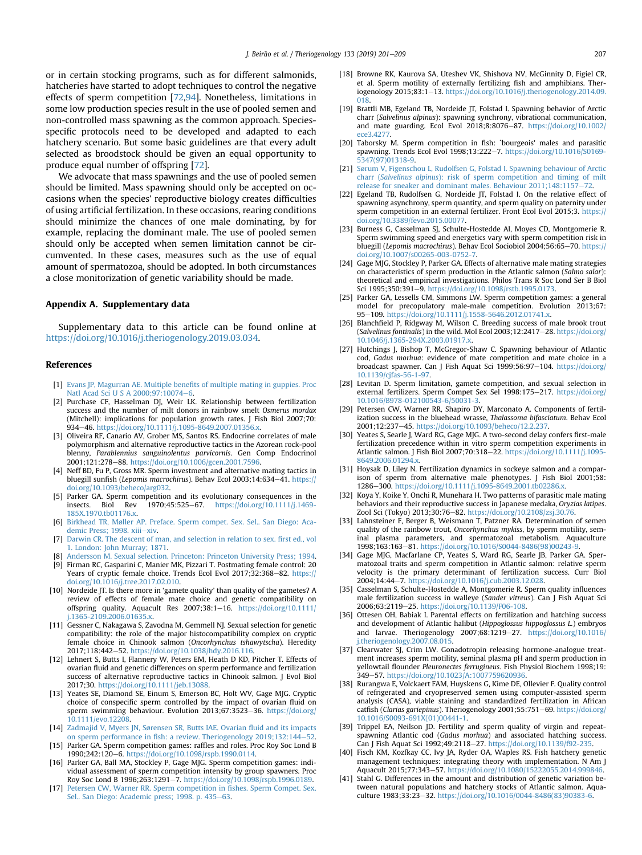<span id="page-6-0"></span>or in certain stocking programs, such as for different salmonids, hatcheries have started to adopt techniques to control the negative effects of sperm competition [\[72](#page-7-0)[,94\]](#page-8-0). Nonetheless, limitations in some low production species result in the use of pooled semen and non-controlled mass spawning as the common approach. Speciesspecific protocols need to be developed and adapted to each hatchery scenario. But some basic guidelines are that every adult selected as broodstock should be given an equal opportunity to produce equal number of offspring [\[72\]](#page-7-0).

We advocate that mass spawnings and the use of pooled semen should be limited. Mass spawning should only be accepted on occasions when the species' reproductive biology creates difficulties of using artificial fertilization. In these occasions, rearing conditions should minimize the chances of one male dominating, by for example, replacing the dominant male. The use of pooled semen should only be accepted when semen limitation cannot be circumvented. In these cases, measures such as the use of equal amount of spermatozoa, should be adopted. In both circumstances a close monitorization of genetic variability should be made.

## Appendix A. Supplementary data

Supplementary data to this article can be found online at <https://doi.org/10.1016/j.theriogenology.2019.03.034>.

## References

- [1] [Evans JP, Magurran AE. Multiple bene](http://refhub.elsevier.com/S0093-691X(19)30084-6/sref1)fits of multiple mating in guppies. Proc Vatl Acad Sci U S A 2000;97:10074-[6.](http://refhub.elsevier.com/S0093-691X(19)30084-6/sref1)
- [2] Purchase CF, Hasselman DJ, Weir LK. Relationship between fertilization success and the number of milt donors in rainbow smelt Osmerus mordax (Mitchell): implications for population growth rates. J Fish Biol 2007;70: 934-46. <https://doi.org/10.1111/j.1095-8649.2007.01356.x>.
- [3] Oliveira RF, Canario AV, Grober MS, Santos RS. Endocrine correlates of male polymorphism and alternative reproductive tactics in the Azorean rock-pool blenny, Parablennius sanguinolentus parvicornis. Gen Comp Endocrinol 2001;121:278-88. [https://doi.org/10.1006/gcen.2001.7596.](https://doi.org/10.1006/gcen.2001.7596)
- [4] Neff BD, Fu P, Gross MR. Sperm investment and alternative mating tactics in bluegill sunfish (Lepomis macrochirus). Behav Ecol 2003;14:634-41. [https://](https://doi.org/10.1093/beheco/arg032) [doi.org/10.1093/beheco/arg032.](https://doi.org/10.1093/beheco/arg032)
- [5] Parker GA. Sperm competition and its evolutionary consequences in the insects. Biol Rev 1970;45:525-67. [https://doi.org/10.1111/j.1469-](https://doi.org/10.1111/j.1469-185X.1970.tb01176.x) [185X.1970.tb01176.x](https://doi.org/10.1111/j.1469-185X.1970.tb01176.x).
- [6] [Birkhead TR, M](http://refhub.elsevier.com/S0093-691X(19)30084-6/sref6)ø[ller AP. Preface. Sperm compet. Sex. Sel.. San Diego: Aca](http://refhub.elsevier.com/S0093-691X(19)30084-6/sref6)demic Press: 1998. xiii-[xiv](http://refhub.elsevier.com/S0093-691X(19)30084-6/sref6).
- [7] [Darwin CR. The descent of man, and selection in relation to sex.](http://refhub.elsevier.com/S0093-691X(19)30084-6/sref7) first ed., vol [1. London: John Murray; 1871.](http://refhub.elsevier.com/S0093-691X(19)30084-6/sref7)
- [8] [Andersson M. Sexual selection. Princeton: Princeton University Press; 1994](http://refhub.elsevier.com/S0093-691X(19)30084-6/sref8).
- [9] Firman RC, Gasparini C, Manier MK, Pizzari T. Postmating female control: 20 Years of cryptic female choice. Trends Ecol Evol  $2017:32:368-82$ . [https://](https://doi.org/10.1016/j.tree.2017.02.010) [doi.org/10.1016/j.tree.2017.02.010](https://doi.org/10.1016/j.tree.2017.02.010).
- [10] Nordeide JT. Is there more in 'gamete quality' than quality of the gametes? A review of effects of female mate choice and genetic compatibility on<br>offspring quality. Aquacult Res 2007;38:1–16. [https://doi.org/10.1111/](https://doi.org/10.1111/j.1365-2109.2006.01635.x) [j.1365-2109.2006.01635.x](https://doi.org/10.1111/j.1365-2109.2006.01635.x).
- [11] Gessner C, Nakagawa S, Zavodna M, Gemmell NJ. Sexual selection for genetic compatibility: the role of the major histocompatibility complex on cryptic female choice in Chinook salmon (Oncorhynchus tshawytscha). Heredity 2017;118:442-52. https://doi.org/10.1038/hdv.2016.116.
- [12] Lehnert S, Butts I, Flannery W, Peters EM, Heath D KD, Pitcher T. Effects of ovarian fluid and genetic differences on sperm performance and fertilization success of alternative reproductive tactics in Chinook salmon. J Evol Biol 2017;30. <https://doi.org/10.1111/jeb.13088>.
- [13] Yeates SE, Diamond SE, Einum S, Emerson BC, Holt WV, Gage MJG. Cryptic choice of conspecific sperm controlled by the impact of ovarian fluid on sperm swimming behaviour. Evolution 2013;67:3523-36. [https://doi.org/](https://doi.org/10.1111/evo.12208) [10.1111/evo.12208](https://doi.org/10.1111/evo.12208).
- [14] [Zadmajid V, Myers JN, Sørensen SR, Butts IAE. Ovarian](http://refhub.elsevier.com/S0093-691X(19)30084-6/sref14) fluid and its impacts on sperm performance in fi[sh: a review. Theriogenology 2019;132:144](http://refhub.elsevier.com/S0093-691X(19)30084-6/sref14)-[52](http://refhub.elsevier.com/S0093-691X(19)30084-6/sref14).
- [15] Parker GA. Sperm competition games: raffles and roles. Proc Roy Soc Lond B 1990;242:120-6. [https://doi.org/10.1098/rspb.1990.0114.](https://doi.org/10.1098/rspb.1990.0114)
- [16] Parker GA, Ball MA, Stockley P, Gage MJG. Sperm competition games: individual assessment of sperm competition intensity by group spawners. Proc Roy Soc Lond B 1996;263:1291-7. [https://doi.org/10.1098/rspb.1996.0189.](https://doi.org/10.1098/rspb.1996.0189)
- [17] [Petersen CW, Warner RR. Sperm competition in](http://refhub.elsevier.com/S0093-691X(19)30084-6/sref17) fishes. Sperm Compet. Sex. [Sel.. San Diego: Academic press; 1998. p. 435](http://refhub.elsevier.com/S0093-691X(19)30084-6/sref17)-[63.](http://refhub.elsevier.com/S0093-691X(19)30084-6/sref17)
- [18] Browne RK, Kaurova SA, Uteshev VK, Shishova NV, McGinnity D, Figiel CR, et al. Sperm motility of externally fertilizing fish and amphibians. Theriogenology 2015;83:1-13. [https://doi.org/10.1016/j.theriogenology.2014.09.](https://doi.org/10.1016/j.theriogenology.2014.09.018) [018.](https://doi.org/10.1016/j.theriogenology.2014.09.018)
- [19] Brattli MB, Egeland TB, Nordeide JT, Folstad I. Spawning behavior of Arctic charr (Salvelinus alpinus): spawning synchrony, vibrational communication, and mate guarding. Ecol Evol 2018;8:8076-87. [https://doi.org/10.1002/](https://doi.org/10.1002/ece3.4277) [ece3.4277.](https://doi.org/10.1002/ece3.4277)
- [20] Taborsky M. Sperm competition in fish: `bourgeois' males and parasitic spawning. Trends Ecol Evol 1998;13:222-7. [https://doi.org/10.1016/S0169-](https://doi.org/10.1016/S0169-5347(97)01318-9) [5347\(97\)01318-9](https://doi.org/10.1016/S0169-5347(97)01318-9).
- [21] [Sørum V, Figenschou L, Rudolfsen G, Folstad I. Spawning behaviour of Arctic](http://refhub.elsevier.com/S0093-691X(19)30084-6/sref21) charr (Salvelinus alpinus[\): risk of sperm competition and timing of milt](http://refhub.elsevier.com/S0093-691X(19)30084-6/sref21) release for sneaker and dominant males. Behaviour  $2011:148:1157-72$ .
- [22] Egeland TB, Rudolfsen G, Nordeide JT, Folstad I. On the relative effect of spawning asynchrony, sperm quantity, and sperm quality on paternity under sperm competition in an external fertilizer. Front Ecol Evol 2015;3. [https://](https://doi.org/10.3389/fevo.2015.00077) [doi.org/10.3389/fevo.2015.00077](https://doi.org/10.3389/fevo.2015.00077).
- [23] Burness G, Casselman SJ, Schulte-Hostedde AI, Moyes CD, Montgomerie R. Sperm swimming speed and energetics vary with sperm competition risk in bluegill (Lepomis macrochirus). Behav Ecol Sociobiol 2004:56:65-70. [https://](https://doi.org/10.1007/s00265-003-0752-7) [doi.org/10.1007/s00265-003-0752-7.](https://doi.org/10.1007/s00265-003-0752-7)
- [24] Gage MJG, Stockley P, Parker GA. Effects of alternative male mating strategies on characteristics of sperm production in the Atlantic salmon (Salmo salar): theoretical and empirical investigations. Philos Trans R Soc Lond Ser B Biol Sci 1995;350:391-9. [https://doi.org/10.1098/rstb.1995.0173.](https://doi.org/10.1098/rstb.1995.0173)
- [25] Parker GA, Lessells CM, Simmons LW. Sperm competition games: a general model for precopulatory male-male competition. Evolution 2013;67: 95-109. <https://doi.org/10.1111/j.1558-5646.2012.01741.x>.
- [26] Blanchfield P, Ridgway M, Wilson C. Breeding success of male brook trout (Salvelinus fontinalis) in the wild. Mol Ecol 2003;12:2417-28. [https://doi.org/](https://doi.org/10.1046/j.1365-294X.2003.01917.x) [10.1046/j.1365-294X.2003.01917.x](https://doi.org/10.1046/j.1365-294X.2003.01917.x).
- [27] Hutchings J, Bishop T, McGregor-Shaw C. Spawning behaviour of Atlantic cod, Gadus morhua: evidence of mate competition and mate choice in a broadcast spawner. Can J Fish Aquat Sci 1999;56:97-104. [https://doi.org/](https://doi.org/10.1139/cjfas-56-1-97) [10.1139/cjfas-56-1-97](https://doi.org/10.1139/cjfas-56-1-97).
- [28] Levitan D. Sperm limitation, gamete competition, and sexual selection in external fertilizers. Sperm Compet Sex Sel 1998:175-217. [https://doi.org/](https://doi.org/10.1016/B978-012100543-6/50031-3) [10.1016/B978-012100543-6/50031-3](https://doi.org/10.1016/B978-012100543-6/50031-3).
- [29] Petersen CW, Warner RR, Shapiro DY, Marconato A. Components of fertilization success in the bluehead wrasse, Thalassoma bifasciatum. Behav Ecol 2001;12:237-45. <https://doi.org/10.1093/beheco/12.2.237>.
- [30] Yeates S, Searle J, Ward RG, Gage MJG. A two-second delay confers first-male fertilization precedence within in vitro sperm competition experiments in Atlantic salmon. J Fish Biol 2007;70:318-22. [https://doi.org/10.1111/j.1095-](https://doi.org/10.1111/j.1095-8649.2006.01294.x) [8649.2006.01294.x.](https://doi.org/10.1111/j.1095-8649.2006.01294.x)
- [31] Hoysak D, Liley N. Fertilization dynamics in sockeye salmon and a comparison of sperm from alternative male phenotypes. J Fish Biol 2001;58: 1286-300. <https://doi.org/10.1111/j.1095-8649.2001.tb02286.x>.
- [32] Koya Y, Koike Y, Onchi R, Munehara H. Two patterns of parasitic male mating behaviors and their reproductive success in Japanese medaka, Oryzias latipes. Zool Sci (Tokyo) 2013;30:76-82. [https://doi.org/10.2108/zsj.30.76.](https://doi.org/10.2108/zsj.30.76)
- [33] Lahnsteiner F, Berger B, Weismann T, Patzner RA. Determination of semen quality of the rainbow trout, Oncorhynchus mykiss, by sperm motility, seminal plasma parameters, and spermatozoal metabolism. Aquaculture 1998;163:163-81. https://doi.org/10.1016/S0044-8486(98)00243-
- [34] Gage MJG, Macfarlane CP, Yeates S, Ward RG, Searle JB, Parker GA. Spermatozoal traits and sperm competition in Atlantic salmon: relative sperm velocity is the primary determinant of fertilization success. Curr Biol 2004;14:44-7. <https://doi.org/10.1016/j.cub.2003.12.028>.
- [35] Casselman S, Schulte-Hostedde A, Montgomerie R. Sperm quality influences male fertilization success in walleye (Sander vitreus). Can J Fish Aquat Sci 2006;63:2119-25. [https://doi.org/10.1139/F06-108.](https://doi.org/10.1139/F06-108)
- [36] Ottesen OH, Babiak I. Parental effects on fertilization and hatching success and development of Atlantic halibut (Hippoglossus hippoglossus L.) embryos and larvae. Theriogenology 2007;68:1219-27. [https://doi.org/10.1016/](https://doi.org/10.1016/j.theriogenology.2007.08.015) [j.theriogenology.2007.08.015](https://doi.org/10.1016/j.theriogenology.2007.08.015).
- [37] Clearwater SJ, Crim LW. Gonadotropin releasing hormone-analogue treatment increases sperm motility, seminal plasma pH and sperm production in yellowtail flounder Pleuronectes ferrugineus. Fish Physiol Biochem 1998;19: 349-57. [https://doi.org/10.1023/A:1007759620936.](https://doi.org/10.1023/A:1007759620936)
- [38] Rurangwa E, Volckaert FAM, Huyskens G, Kime DE, Ollevier F. Quality control of refrigerated and cryopreserved semen using computer-assisted sperm analysis (CASA), viable staining and standardized fertilization in African catfish (Clarias gariepinus). Theriogenology 2001;55:751-69. [https://doi.org/](https://doi.org/10.1016/S0093-691X(01)00441-1) [10.1016/S0093-691X\(01\)00441-1.](https://doi.org/10.1016/S0093-691X(01)00441-1)
- [39] Trippel EA, Neilson JD. Fertility and sperm quality of virgin and repeatspawning Atlantic cod (Gadus morhua) and associated hatching success. Can J Fish Aquat Sci 1992;49:2118-27. <https://doi.org/10.1139/f92-235>.
- [40] Fisch KM, Kozfkay CC, Ivy JA, Ryder OA, Waples RS. Fish hatchery genetic management techniques: integrating theory with implementation. N Am J Aquacult 2015;77:343-57. <https://doi.org/10.1080/15222055.2014.999846>.
- [41] Stahl G. Differences in the amount and distribution of genetic variation between natural populations and hatchery stocks of Atlantic salmon. Aquaculture 1983;33:23-32. [https://doi.org/10.1016/0044-8486\(83\)90383-6.](https://doi.org/10.1016/0044-8486(83)90383-6)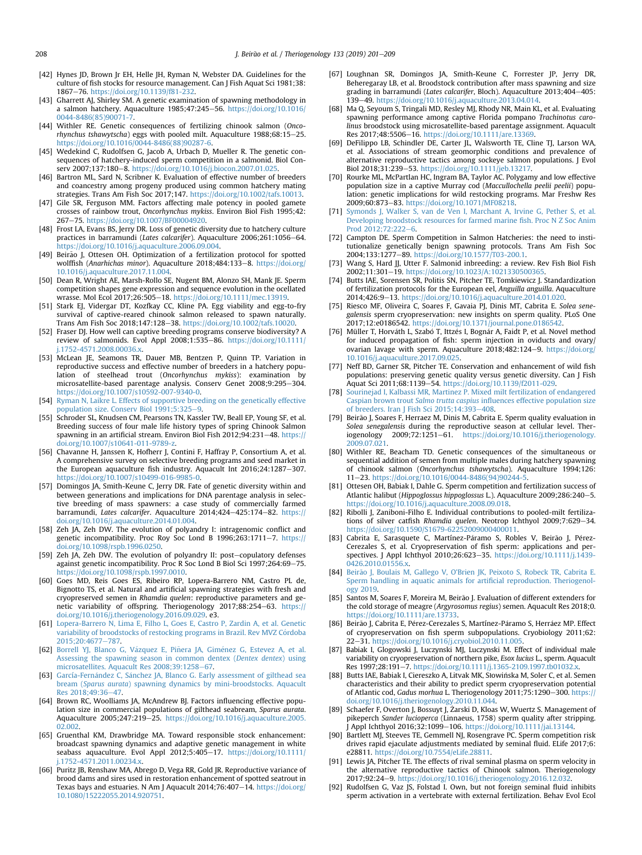- <span id="page-7-0"></span>[42] Hynes JD, Brown Jr EH, Helle JH, Ryman N, Webster DA. Guidelines for the culture of fish stocks for resource management. Can J Fish Aquat Sci 1981;38: 1867e76. <https://doi.org/10.1139/f81-232>.
- [43] Gharrett AJ, Shirley SM. A genetic examination of spawning methodology in a salmon hatchery. Aquaculture  $1985;47;245-56$ . [https://doi.org/10.1016/](https://doi.org/10.1016/0044-8486(85)90071-7) [0044-8486\(85\)90071-7.](https://doi.org/10.1016/0044-8486(85)90071-7)
- [44] Withler RE. Genetic consequences of fertilizing chinook salmon (Oncorhynchus tshawytscha) eggs with pooled milt. Aquaculture 1988;68:15-25. [https://doi.org/10.1016/0044-8486\(88\)90287-6](https://doi.org/10.1016/0044-8486(88)90287-6).
- [45] Wedekind C, Rudolfsen G, Jacob A, Urbach D, Mueller R, The genetic consequences of hatchery-induced sperm competition in a salmonid. Biol Conserv 2007:137:180-8. <https://doi.org/10.1016/j.biocon.2007.01.025>
- [46] Bartron ML, Sard N, Scribner K. Evaluation of effective number of breeders and coancestry among progeny produced using common hatchery mating strategies. Trans Am Fish Soc 2017;147. <https://doi.org/10.1002/tafs.10013>.
- [47] Gile SR, Ferguson MM. Factors affecting male potency in pooled gamete crosses of rainbow trout, Oncorhynchus mykiss. Environ Biol Fish 1995;42: 267e75. <https://doi.org/10.1007/BF00004920>.
- [48] Frost LA, Evans BS, Jerry DR. Loss of genetic diversity due to hatchery culture practices in barramundi (Lates calcarifer). Aquaculture 2006;261:1056-64. <https://doi.org/10.1016/j.aquaculture.2006.09.004>.
- [49] Beirão J, Ottesen OH. Optimization of a fertilization protocol for spotted wolffish (Anarhichas minor). Aquaculture 2018;484:133-8. [https://doi.org/](https://doi.org/10.1016/j.aquaculture.2017.11.004) [10.1016/j.aquaculture.2017.11.004](https://doi.org/10.1016/j.aquaculture.2017.11.004).
- [50] Dean R, Wright AE, Marsh-Rollo SE, Nugent BM, Alonzo SH, Mank JE. Sperm competition shapes gene expression and sequence evolution in the ocellated wrasse. Mol Ecol 2017;26:505-18. [https://doi.org/10.1111/mec.13919.](https://doi.org/10.1111/mec.13919)
- [51] Stark EJ, Vidergar DT, Kozfkay CC, Kline PA. Egg viability and egg-to-fry survival of captive-reared chinook salmon released to spawn naturally. Trans Am Fish Soc 2018;147:128-38. [https://doi.org/10.1002/tafs.10020.](https://doi.org/10.1002/tafs.10020)
- [52] Fraser DJ. How well can captive breeding programs conserve biodiversity? A review of salmonids. Evol Appl 2008;1:535-86. [https://doi.org/10.1111/](https://doi.org/10.1111/j.1752-4571.2008.00036.x) [j.1752-4571.2008.00036.x.](https://doi.org/10.1111/j.1752-4571.2008.00036.x)
- [53] McLean JE, Seamons TR, Dauer MB, Bentzen P, Quinn TP. Variation in reproductive success and effective number of breeders in a hatchery population of steelhead trout (Oncorhynchus mykiss): examination microsatellite-based parentage analysis. Conserv Genet 2008;9:295-304. <https://doi.org/10.1007/s10592-007-9340-0>.
- [54] [Ryman N, Laikre L. Effects of supportive breeding on the genetically effective](http://refhub.elsevier.com/S0093-691X(19)30084-6/sref54) population size. Consery Biol 1991:5:325-[9.](http://refhub.elsevier.com/S0093-691X(19)30084-6/sref54)
- [55] Schroder SL, Knudsen CM, Pearsons TN, Kassler TW, Beall EP, Young SF, et al. Breeding success of four male life history types of spring Chinook Salmon spawning in an artificial stream. Environ Biol Fish 2012;94:231-48. [https://](https://doi.org/10.1007/s10641-011-9789-z) [doi.org/10.1007/s10641-011-9789-z](https://doi.org/10.1007/s10641-011-9789-z).
- [56] Chavanne H, Janssen K, Hofherr J, Contini F, Haffray P, Consortium A, et al. A comprehensive survey on selective breeding programs and seed market in the European aquaculture fish industry. Aquacult Int 2016;24:1287-307. <https://doi.org/10.1007/s10499-016-9985-0>.
- [57] Domingos JA, Smith-Keune C, Jerry DR. Fate of genetic diversity within and between generations and implications for DNA parentage analysis in selective breeding of mass spawners: a case study of commercially farmed barramundi, Lates calcarifer. Aquaculture 2014;424-425:174-82. [https://](https://doi.org/10.1016/j.aquaculture.2014.01.004) [doi.org/10.1016/j.aquaculture.2014.01.004.](https://doi.org/10.1016/j.aquaculture.2014.01.004)
- [58] Zeh JA, Zeh DW. The evolution of polyandry I: intragenomic conflict and genetic incompatibility. Proc Roy Soc Lond B 1996;263:1711-7. [https://](https://doi.org/10.1098/rspb.1996.0250) oi.org/10.1098/rspb.1996.0250.
- [59] Zeh JA, Zeh DW. The evolution of polyandry II: post-copulatory defenses against genetic incompatibility. Proc R Soc Lond B Biol Sci 1997;264:69-75. [https://doi.org/10.1098/rspb.1997.0010.](https://doi.org/10.1098/rspb.1997.0010)
- [60] Goes MD, Reis Goes ES, Ribeiro RP, Lopera-Barrero NM, Castro PL de, Bignotto TS, et al. Natural and artificial spawning strategies with fresh and cryopreserved semen in Rhamdia quelen: reproductive parameters and genetic variability of offspring. Theriogenology 2017;88:254-63. [https://](https://doi.org/10.1016/j.theriogenology.2016.09.029) [doi.org/10.1016/j.theriogenology.2016.09.029.](https://doi.org/10.1016/j.theriogenology.2016.09.029) e3.
- [61] [Lopera-Barrero N, Lima E, Filho L, Goes E, Castro P, Zardin A, et al. Genetic](http://refhub.elsevier.com/S0093-691X(19)30084-6/sref61) variability of broodstocks of restocking programs in Brazil. Rev MVZ Córdoba [2015;20:4677](http://refhub.elsevier.com/S0093-691X(19)30084-6/sref61)-[787.](http://refhub.elsevier.com/S0093-691X(19)30084-6/sref61)
- [62] Borrell YJ, Blanco G, Vázquez E, Piñ[era JA, Gim](http://refhub.elsevier.com/S0093-691X(19)30084-6/sref62)énez G, Estevez A, et al. [Assessing the spawning season in common dentex \(](http://refhub.elsevier.com/S0093-691X(19)30084-6/sref62)Dentex dentex) using [microsatellites. Aquacult Res 2008;39:1258](http://refhub.elsevier.com/S0093-691X(19)30084-6/sref62)-[67](http://refhub.elsevier.com/S0093-691X(19)30084-6/sref62).
- [63] [García-Fern](http://refhub.elsevier.com/S0093-691X(19)30084-6/sref63)ández C, Sánchez JA, Blanco G. Early assessment of gilthead sea bream (Sparus aurata[\) spawning dynamics by mini-broodstocks. Aquacult](http://refhub.elsevier.com/S0093-691X(19)30084-6/sref63) Res 2018:49:36-[47.](http://refhub.elsevier.com/S0093-691X(19)30084-6/sref63)
- [64] Brown RC, Woolliams JA, McAndrew BJ. Factors influencing effective population size in commercial populations of gilthead seabream, Sparus aurata. Aquaculture 2005;247:219-25. [https://doi.org/10.1016/j.aquaculture.2005.](https://doi.org/10.1016/j.aquaculture.2005.02.002) [02.002](https://doi.org/10.1016/j.aquaculture.2005.02.002).
- [65] Gruenthal KM, Drawbridge MA. Toward responsible stock enhancement: broadcast spawning dynamics and adaptive genetic management in white seabass aquaculture. Evol Appl 2012;5:405-17. [https://doi.org/10.1111/](https://doi.org/10.1111/j.1752-4571.2011.00234.x) [j.1752-4571.2011.00234.x.](https://doi.org/10.1111/j.1752-4571.2011.00234.x)
- [66] Puritz JB, Renshaw MA, Abrego D, Vega RR, Gold JR. Reproductive variance of brood dams and sires used in restoration enhancement of spotted seatrout in Texas bays and estuaries. N Am J Aquacult 2014;76:407-14. [https://doi.org/](https://doi.org/10.1080/15222055.2014.920751) [10.1080/15222055.2014.920751.](https://doi.org/10.1080/15222055.2014.920751)
- [67] Loughnan SR, Domingos JA, Smith-Keune C, Forrester JP, Jerry DR, Beheregaray LB, et al. Broodstock contribution after mass spawning and size grading in barramundi (Lates calcarifer, Bloch). Aquaculture 2013;404-405:  $139 - 49.$  <https://doi.org/10.1016/j.aquaculture.2013.04.014>.
- [68] Ma Q, Seyoum S, Tringali MD, Resley MJ, Rhody NR, Main KL, et al. Evaluating spawning performance among captive Florida pompano Trachinotus carolinus broodstock using microsatellite-based parentage assignment. Aquacult Res 2017:48:5506-16. [https://doi.org/10.1111/are.13369.](https://doi.org/10.1111/are.13369)
- [69] DeFilippo LB, Schindler DE, Carter JL, Walsworth TE, Cline TJ, Larson WA, et al. Associations of stream geomorphic conditions and prevalence of alternative reproductive tactics among sockeye salmon populations. J Evol Biol 2018;31:239-53. [https://doi.org/10.1111/jeb.13217.](https://doi.org/10.1111/jeb.13217)
- [70] Rourke ML, McPartlan HC, Ingram BA, Taylor AC. Polygamy and low effective population size in a captive Murray cod (Maccullochella peelii peelii) population: genetic implications for wild restocking programs. Mar Freshw Res 2009:60:873-83. [https://doi.org/10.1071/MF08218.](https://doi.org/10.1071/MF08218)
- [71] [Symonds J, Walker S, van de Ven I, Marchant A, Irvine G, Pether S, et al.](http://refhub.elsevier.com/S0093-691X(19)30084-6/sref71) [Developing broodstock resources for farmed marine](http://refhub.elsevier.com/S0093-691X(19)30084-6/sref71) fish. Proc N Z Soc Anim Prod  $2012:72:222-6$  $2012:72:222-6$
- [72] Campton DE. Sperm Competition in Salmon Hatcheries: the need to institutionalize genetically benign spawning protocols. Trans Am Fish Soc 2004;133:1277e89. <https://doi.org/10.1577/T03-200.1>.
- [73] Wang S, Hard JJ, Utter F, Salmonid inbreeding: a review. Rev Fish Biol Fish 2002;11:301-19. <https://doi.org/10.1023/A:1021330500365>.
- [74] Butts IAE, Sorensen SR, Politis SN, Pitcher TE, Tomkiewicz J. Standardization of fertilization protocols for the European eel, Anguilla anguilla. Aquaculture 2014;426:9e13. [https://doi.org/10.1016/j.aquaculture.2014.01.020.](https://doi.org/10.1016/j.aquaculture.2014.01.020)
- [75] Riesco MF, Oliveira C, Soares F, Gavaia PJ, Dinis MT, Cabrita E, Solea senegalensis sperm cryopreservation: new insights on sperm quality. PLoS One 2017;12:e0186542. [https://doi.org/10.1371/journal.pone.0186542.](https://doi.org/10.1371/journal.pone.0186542)
- [76] Müller T, Horváth L, Szabó T, Ittzés I, Bognár A, Faidt P, et al. Novel method for induced propagation of fish: sperm injection in oviducts and ovary/ ovarian lavage with sperm. Aquaculture 2018;482:124-9. [https://doi.org/](https://doi.org/10.1016/j.aquaculture.2017.09.025) [10.1016/j.aquaculture.2017.09.025.](https://doi.org/10.1016/j.aquaculture.2017.09.025)
- [77] Neff BD, Garner SR, Pitcher TE. Conservation and enhancement of wild fish populations: preserving genetic quality versus genetic diversity. Can J Fish Aquat Sci 2011;68:1139-54. <https://doi.org/10.1139/f2011-029>.
- [78] [Sourinejad I, Kalbassi MR, Martinez P. Mixed milt fertilization of endangered](http://refhub.elsevier.com/S0093-691X(19)30084-6/sref78) Caspian brown trout Salmo trutta caspius infl[uences effective population size](http://refhub.elsevier.com/S0093-691X(19)30084-6/sref78) of breeders. Iran I Fish Sci  $2015:14:393-408$  $2015:14:393-408$ .
- [79] Beirao J, Soares F, Herraez M, Dinis M, Cabrita E. Sperm quality evaluation in ~ Solea senegalensis during the reproductive season at cellular level. Ther-<br>iogenology 2009;72:1251-61. https://doi.org/10.1016/j.theriogenology. 2009;72:1251-61. [https://doi.org/10.1016/j.theriogenology.](https://doi.org/10.1016/j.theriogenology.2009.07.021) [2009.07.021.](https://doi.org/10.1016/j.theriogenology.2009.07.021)
- [80] Withler RE, Beacham TD. Genetic consequences of the simultaneous or sequential addition of semen from multiple males during hatchery spawning of chinook salmon (Oncorhynchus tshawytscha). Aquaculture 1994;126: 11e23. [https://doi.org/10.1016/0044-8486\(94\)90244-5.](https://doi.org/10.1016/0044-8486(94)90244-5)
- [81] Ottesen OH, Babiak I, Dahle G. Sperm competition and fertilization success of Atlantic halibut (Hippoglossus hippoglossus L.). Aquaculture 2009;286:240-5. <https://doi.org/10.1016/j.aquaculture.2008.09.018>.
- [82] Ribolli J, Zaniboni-Filho E. Individual contributions to pooled-milt fertilizations of silver catfish Rhamdia quelen. Neotrop Ichthyol 2009;7:629-34. [https://doi.org/10.1590/S1679-62252009000400011.](https://doi.org/10.1590/S1679-62252009000400011)
- [83] Cabrita E, Sarasquete C, Martínez-Páramo S, Robles V, Beirão J, Pérez-Cerezales S, et al. Cryopreservation of fish sperm: applications and perspectives. J Appl Ichthyol 2010;26:623-35. [https://doi.org/10.1111/j.1439-](https://doi.org/10.1111/j.1439-0426.2010.01556.x) [0426.2010.01556.x](https://doi.org/10.1111/j.1439-0426.2010.01556.x)
- [84] Beirão J, Boulais M, Gallego V, O'Brien JK, Peixoto S, Robeck TR, Cabrita E. [Sperm handling in aquatic animals for arti](http://refhub.elsevier.com/S0093-691X(19)30084-6/sref84)ficial reproduction. Theriogenol[ogy 2019.](http://refhub.elsevier.com/S0093-691X(19)30084-6/sref84)
- [85] Santos M, Soares F, Moreira M, Beirão J. Evaluation of different extenders for the cold storage of meagre (Argyrosomus regius) semen. Aquacult Res 2018;0. <https://doi.org/10.1111/are.13733>.
- [86] Beirão J, Cabrita E, Pérez-Cerezales S, Martínez-Páramo S, Herráez MP. Effect of cryopreservation on fish sperm subpopulations. Cryobiology 2011;62: 22e31. [https://doi.org/10.1016/j.cryobiol.2010.11.005.](https://doi.org/10.1016/j.cryobiol.2010.11.005)
- [87] Babiak I, Glogowski J, Luczynski MJ, Luczynski M. Effect of individual male variability on cryopreservation of northern pike, Esox lucius L., sperm. Aquacult Res 1997;28:191-7. https://doi.org/10.1111/j.1365-2109.1997.tb01032.x
- [88] Butts IAE, Babiak I, Ciereszko A, Litvak MK, Słowinska M, Soler C, et al. Semen characteristics and their ability to predict sperm cryopreservation potential of Atlantic cod, Gadus morhua L. Theriogenology 2011;75:1290-300. [https://](https://doi.org/10.1016/j.theriogenology.2010.11.044) [doi.org/10.1016/j.theriogenology.2010.11.044.](https://doi.org/10.1016/j.theriogenology.2010.11.044)
- [89] Schaefer F, Overton J, Bossuyt J, Zarski D, Kloas W, Wuertz S. Management of pikeperch Sander lucioperca (Linnaeus, 1758) sperm quality after stripping. J Appl Ichthyol 2016;32:1099-106. <https://doi.org/10.1111/jai.13144>.
- [90] Bartlett MJ, Steeves TE, Gemmell NJ, Rosengrave PC. Sperm competition risk drives rapid ejaculate adjustments mediated by seminal fluid. ELife 2017;6: e28811. <https://doi.org/10.7554/eLife.28811>.
- [91] Lewis JA, Pitcher TE. The effects of rival seminal plasma on sperm velocity in the alternative reproductive tactics of Chinook salmon. Theriogenology 2017;92:24-9. https://doi.org/10.1016/j.theriogenology.2016.12.032
- [92] Rudolfsen G, Vaz JS, Folstad I. Own, but not foreign seminal fluid inhibits sperm activation in a vertebrate with external fertilization. Behav Evol Ecol